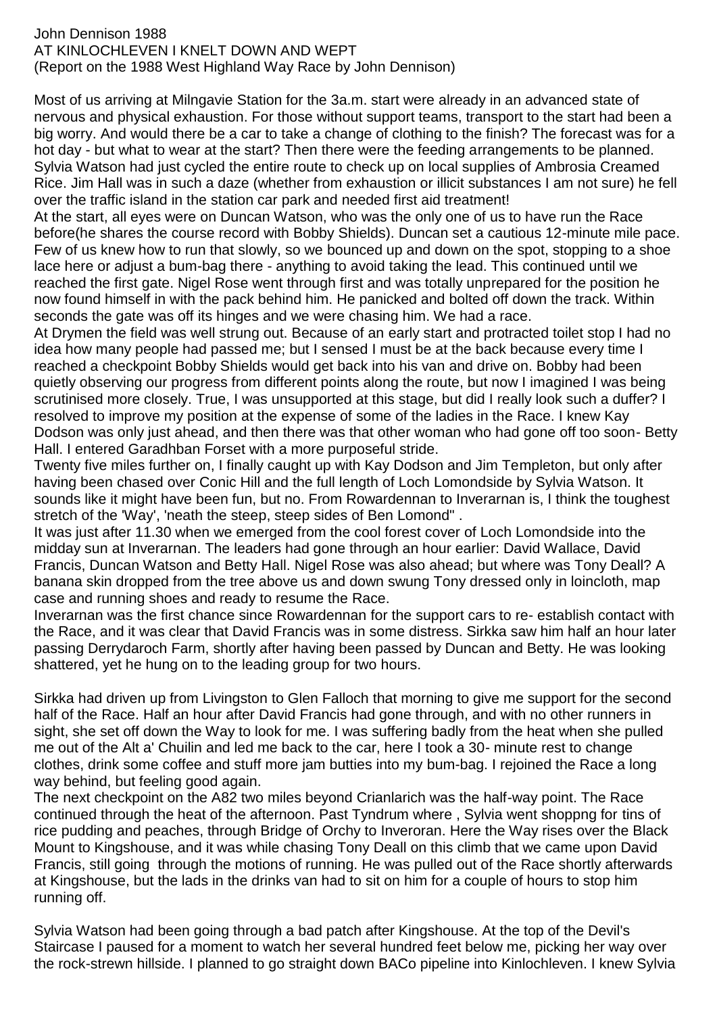## John Dennison 1988 AT KINLOCHLEVEN I KNELT DOWN AND WEPT (Report on the 1988 West Highland Way Race by John Dennison)

Most of us arriving at Milngavie Station for the 3a.m. start were already in an advanced state of nervous and physical exhaustion. For those without support teams, transport to the start had been a big worry. And would there be a car to take a change of clothing to the finish? The forecast was for a hot day - but what to wear at the start? Then there were the feeding arrangements to be planned. Sylvia Watson had just cycled the entire route to check up on local supplies of Ambrosia Creamed Rice. Jim Hall was in such a daze (whether from exhaustion or illicit substances I am not sure) he fell over the traffic island in the station car park and needed first aid treatment!

At the start, all eyes were on Duncan Watson, who was the only one of us to have run the Race before(he shares the course record with Bobby Shields). Duncan set a cautious 12-minute mile pace. Few of us knew how to run that slowly, so we bounced up and down on the spot, stopping to a shoe lace here or adjust a bum-bag there - anything to avoid taking the lead. This continued until we reached the first gate. Nigel Rose went through first and was totally unprepared for the position he now found himself in with the pack behind him. He panicked and bolted off down the track. Within seconds the gate was off its hinges and we were chasing him. We had a race.

At Drymen the field was well strung out. Because of an early start and protracted toilet stop I had no idea how many people had passed me; but I sensed I must be at the back because every time I reached a checkpoint Bobby Shields would get back into his van and drive on. Bobby had been quietly observing our progress from different points along the route, but now I imagined I was being scrutinised more closely. True, I was unsupported at this stage, but did I really look such a duffer? I resolved to improve my position at the expense of some of the ladies in the Race. I knew Kay Dodson was only just ahead, and then there was that other woman who had gone off too soon- Betty Hall. I entered Garadhban Forset with a more purposeful stride.

Twenty five miles further on, I finally caught up with Kay Dodson and Jim Templeton, but only after having been chased over Conic Hill and the full length of Loch Lomondside by Sylvia Watson. It sounds like it might have been fun, but no. From Rowardennan to Inverarnan is, I think the toughest stretch of the 'Way', 'neath the steep, steep sides of Ben Lomond" .

It was just after 11.30 when we emerged from the cool forest cover of Loch Lomondside into the midday sun at Inverarnan. The leaders had gone through an hour earlier: David Wallace, David Francis, Duncan Watson and Betty Hall. Nigel Rose was also ahead; but where was Tony Deall? A banana skin dropped from the tree above us and down swung Tony dressed only in loincloth, map case and running shoes and ready to resume the Race.

Inverarnan was the first chance since Rowardennan for the support cars to re- establish contact with the Race, and it was clear that David Francis was in some distress. Sirkka saw him half an hour later passing Derrydaroch Farm, shortly after having been passed by Duncan and Betty. He was looking shattered, yet he hung on to the leading group for two hours.

Sirkka had driven up from Livingston to Glen Falloch that morning to give me support for the second half of the Race. Half an hour after David Francis had gone through, and with no other runners in sight, she set off down the Way to look for me. I was suffering badly from the heat when she pulled me out of the Alt a' Chuilin and led me back to the car, here I took a 30- minute rest to change clothes, drink some coffee and stuff more jam butties into my bum-bag. I rejoined the Race a long way behind, but feeling good again.

The next checkpoint on the A82 two miles beyond Crianlarich was the half-way point. The Race continued through the heat of the afternoon. Past Tyndrum where , Sylvia went shoppng for tins of rice pudding and peaches, through Bridge of Orchy to Inveroran. Here the Way rises over the Black Mount to Kingshouse, and it was while chasing Tony Deall on this climb that we came upon David Francis, still going through the motions of running. He was pulled out of the Race shortly afterwards at Kingshouse, but the lads in the drinks van had to sit on him for a couple of hours to stop him running off.

Sylvia Watson had been going through a bad patch after Kingshouse. At the top of the Devil's Staircase I paused for a moment to watch her several hundred feet below me, picking her way over the rock-strewn hillside. I planned to go straight down BACo pipeline into Kinlochleven. I knew Sylvia